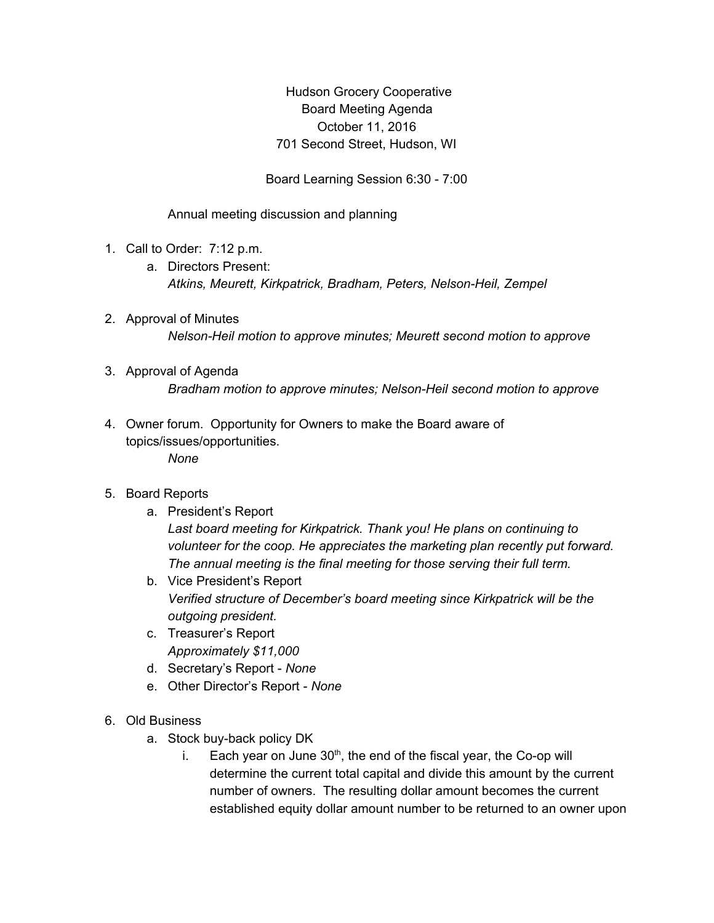Hudson Grocery Cooperative Board Meeting Agenda October 11, 2016 701 Second Street, Hudson, WI

Board Learning Session 6:30 - 7:00

## Annual meeting discussion and planning

- 1. Call to Order: 7:12 p.m.
	- a. Directors Present: *Atkins, Meurett, Kirkpatrick, Bradham, Peters, Nelson-Heil, Zempel*
- 2. Approval of Minutes *Nelson-Heil motion to approve minutes; Meurett second motion to approve*
- 3. Approval of Agenda *Bradham motion to approve minutes; Nelson-Heil second motion to approve*
- 4. Owner forum. Opportunity for Owners to make the Board aware of topics/issues/opportunities.

*None*

- 5. Board Reports
	- a. President's Report *Last board meeting for Kirkpatrick. Thank you! He plans on continuing to volunteer for the coop. He appreciates the marketing plan recently put forward. The annual meeting is the final meeting for those serving their full term.*
	- b. Vice President's Report *Verified structure of December's board meeting since Kirkpatrick will be the outgoing president.*
	- c. Treasurer's Report *Approximately \$11,000*
	- d. Secretary's Report *None*
	- e. Other Director's Report *None*
- 6. Old Business
	- a. Stock buy-back policy DK
		- i. Each year on June  $30<sup>th</sup>$ , the end of the fiscal year, the Co-op will determine the current total capital and divide this amount by the current number of owners. The resulting dollar amount becomes the current established equity dollar amount number to be returned to an owner upon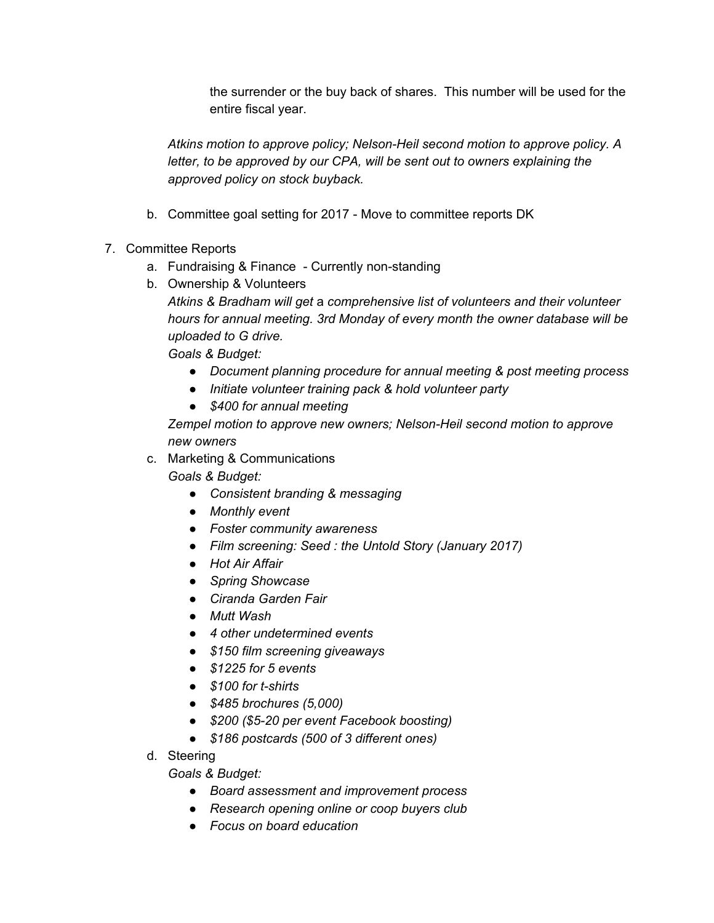the surrender or the buy back of shares. This number will be used for the entire fiscal year.

*Atkins motion to approve policy; Nelson-Heil second motion to approve policy. A letter, to be approved by our CPA, will be sent out to owners explaining the approved policy on stock buyback.*

- b. Committee goal setting for 2017 Move to committee reports DK
- 7. Committee Reports
	- a. Fundraising & Finance Currently non-standing
	- b. Ownership & Volunteers

*Atkins & Bradham will get* a *comprehensive list of volunteers and their volunteer hours for annual meeting. 3rd Monday of every month the owner database will be uploaded to G drive.*

*Goals & Budget:*

- *● Document planning procedure for annual meeting & post meeting process*
- *● Initiate volunteer training pack & hold volunteer party*
- *● \$400 for annual meeting*

*Zempel motion to approve new owners; Nelson-Heil second motion to approve new owners*

c. Marketing & Communications

*Goals & Budget:*

- *● Consistent branding & messaging*
- *● Monthly event*
- *● Foster community awareness*
- *● Film screening: Seed : the Untold Story (January 2017)*
- *● Hot Air Affair*
- *● Spring Showcase*
- *● Ciranda Garden Fair*
- *● Mutt Wash*
- *● 4 other undetermined events*
- *● \$150 film screening giveaways*
- *● \$1225 for 5 events*
- *● \$100 for t-shirts*
- *● \$485 brochures (5,000)*
- *● \$200 (\$5-20 per event Facebook boosting)*
- *● \$186 postcards (500 of 3 different ones)*
- d. Steering
	- *Goals & Budget:*
		- *● Board assessment and improvement process*
		- *● Research opening online or coop buyers club*
		- *● Focus on board education*